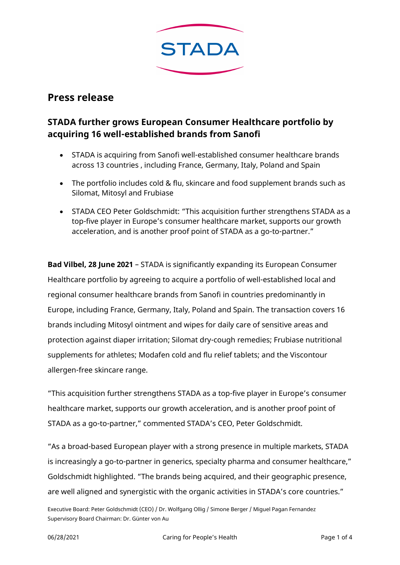

# **Press release**

## **STADA further grows European Consumer Healthcare portfolio by acquiring 16 well-established brands from Sanofi**

- STADA is acquiring from Sanofi well-established consumer healthcare brands across 13 countries , including France, Germany, Italy, Poland and Spain
- The portfolio includes cold & flu, skincare and food supplement brands such as Silomat, Mitosyl and Frubiase
- STADA CEO Peter Goldschmidt: "This acquisition further strengthens STADA as a top-five player in Europe's consumer healthcare market, supports our growth acceleration, and is another proof point of STADA as a go-to-partner."

**Bad Vilbel, 28 June 2021** – STADA is significantly expanding its European Consumer Healthcare portfolio by agreeing to acquire a portfolio of well-established local and regional consumer healthcare brands from Sanofi in countries predominantly in Europe, including France, Germany, Italy, Poland and Spain. The transaction covers 16 brands including Mitosyl ointment and wipes for daily care of sensitive areas and protection against diaper irritation; Silomat dry-cough remedies; Frubiase nutritional supplements for athletes; Modafen cold and flu relief tablets; and the Viscontour allergen-free skincare range.

"This acquisition further strengthens STADA as a top-five player in Europe's consumer healthcare market, supports our growth acceleration, and is another proof point of STADA as a go-to-partner," commented STADA's CEO, Peter Goldschmidt.

"As a broad-based European player with a strong presence in multiple markets, STADA is increasingly a go-to-partner in generics, specialty pharma and consumer healthcare," Goldschmidt highlighted. "The brands being acquired, and their geographic presence, are well aligned and synergistic with the organic activities in STADA's core countries."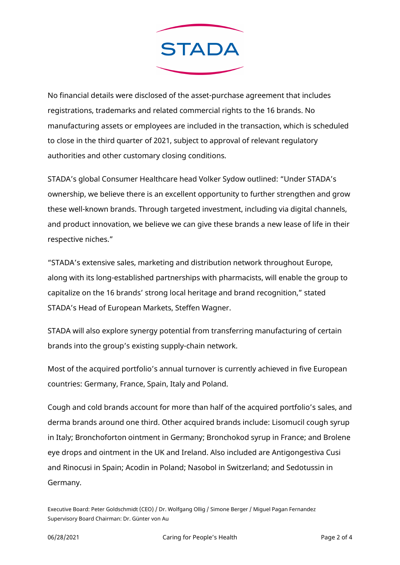

No financial details were disclosed of the asset-purchase agreement that includes registrations, trademarks and related commercial rights to the 16 brands. No manufacturing assets or employees are included in the transaction, which is scheduled to close in the third quarter of 2021, subject to approval of relevant regulatory authorities and other customary closing conditions.

STADA's global Consumer Healthcare head Volker Sydow outlined: "Under STADA's ownership, we believe there is an excellent opportunity to further strengthen and grow these well-known brands. Through targeted investment, including via digital channels, and product innovation, we believe we can give these brands a new lease of life in their respective niches."

"STADA's extensive sales, marketing and distribution network throughout Europe, along with its long-established partnerships with pharmacists, will enable the group to capitalize on the 16 brands' strong local heritage and brand recognition," stated STADA's Head of European Markets, Steffen Wagner.

STADA will also explore synergy potential from transferring manufacturing of certain brands into the group's existing supply-chain network.

Most of the acquired portfolio's annual turnover is currently achieved in five European countries: Germany, France, Spain, Italy and Poland.

Cough and cold brands account for more than half of the acquired portfolio's sales, and derma brands around one third. Other acquired brands include: Lisomucil cough syrup in Italy; Bronchoforton ointment in Germany; Bronchokod syrup in France; and Brolene eye drops and ointment in the UK and Ireland. Also included are Antigongestiva Cusi and Rinocusi in Spain; Acodin in Poland; Nasobol in Switzerland; and Sedotussin in Germany.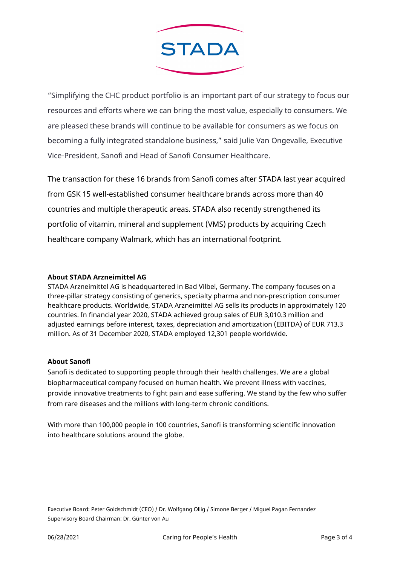

"Simplifying the CHC product portfolio is an important part of our strategy to focus our resources and efforts where we can bring the most value, especially to consumers. We are pleased these brands will continue to be available for consumers as we focus on becoming a fully integrated standalone business," said Julie Van Ongevalle, Executive Vice-President, Sanofi and Head of Sanofi Consumer Healthcare.

The transaction for these 16 brands from Sanofi comes after STADA last year acquired from GSK 15 well-established consumer healthcare brands across more than 40 countries and multiple therapeutic areas. STADA also recently strengthened its portfolio of vitamin, mineral and supplement (VMS) products by acquiring Czech healthcare company Walmark, which has an international footprint.

## **About STADA Arzneimittel AG**

STADA Arzneimittel AG is headquartered in Bad Vilbel, Germany. The company focuses on a three-pillar strategy consisting of generics, specialty pharma and non-prescription consumer healthcare products. Worldwide, STADA Arzneimittel AG sells its products in approximately 120 countries. In financial year 2020, STADA achieved group sales of EUR 3,010.3 million and adjusted earnings before interest, taxes, depreciation and amortization (EBITDA) of EUR 713.3 million. As of 31 December 2020, STADA employed 12,301 people worldwide.

## **About Sanofi**

Sanofi is dedicated to supporting people through their health challenges. We are a global biopharmaceutical company focused on human health. We prevent illness with vaccines, provide innovative treatments to fight pain and ease suffering. We stand by the few who suffer from rare diseases and the millions with long-term chronic conditions.

With more than 100,000 people in 100 countries, Sanofi is transforming scientific innovation into healthcare solutions around the globe.